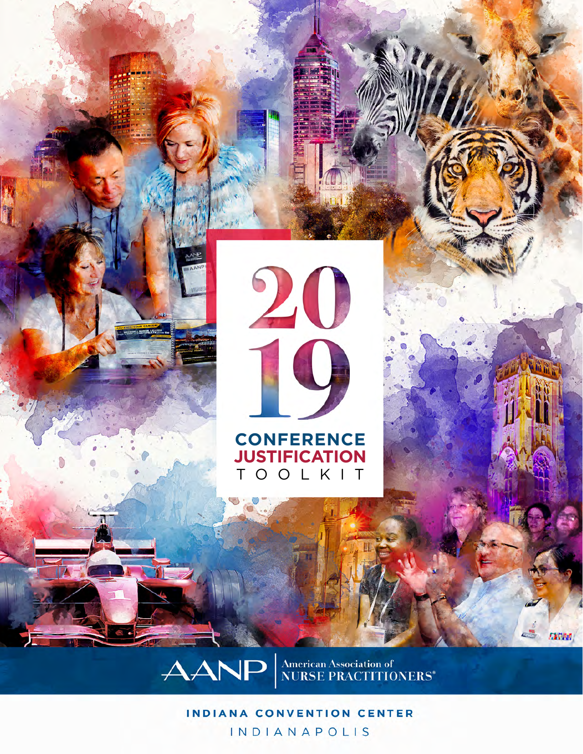

**CONFERENCE JUSTIFICATION** TOOLKIT

AANP **American Association of NURSE PRACTITIONERS\***  **EXPAND** 

### **INDIANA CONVENTION CENTER INDIANAPOLIS**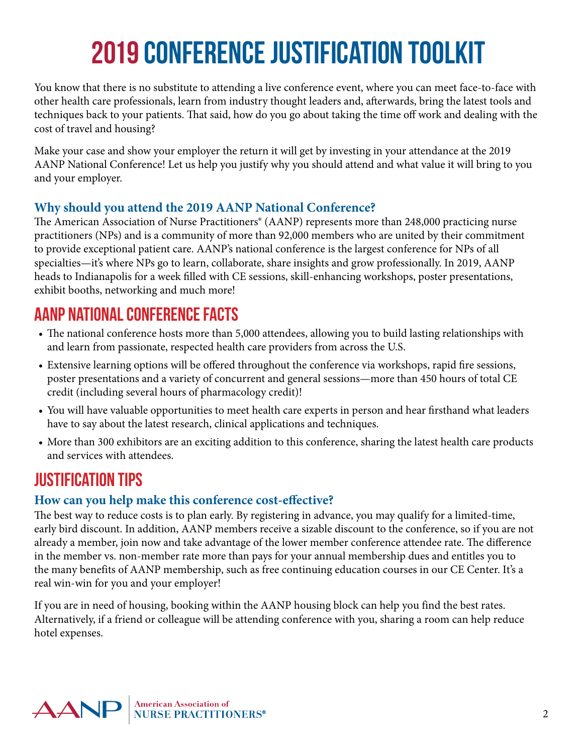# **2019 Conference Justification Toolkit**

You know that there is no substitute to attending a live conference event, where you can meet face-to-face with other health care professionals, learn from industry thought leaders and, afterwards, bring the latest tools and techniques back to your patients. That said, how do you go about taking the time off work and dealing with the cost of travel and housing?

Make your case and show your employer the return it will get by investing in your attendance at the 2019 AANP National Conference! Let us help you justify why you should attend and what value it will bring to you and your employer.

### **Why should you attend the 2019 AANP National Conference?**

The American Association of Nurse Practitioners® (AANP) represents more than 248,000 practicing nurse practitioners (NPs) and is a community of more than 92,000 members who are united by their commitment to provide exceptional patient care. AANP's national conference is the largest conference for NPs of all specialties—it's where NPs go to learn, collaborate, share insights and grow professionally. In 2019, AANP heads to Indianapolis for a week filled with CE sessions, skill-enhancing workshops, poster presentations, exhibit booths, networking and much more!

## **AANP National Conference Facts**

- The national conference hosts more than 5,000 attendees, allowing you to build lasting relationships with and learn from passionate, respected health care providers from across the U.S.
- Extensive learning options will be offered throughout the conference via workshops, rapid fire sessions, poster presentations and a variety of concurrent and general sessions—more than 450 hours of total CE credit (including several hours of pharmacology credit)!
- You will have valuable opportunities to meet health care experts in person and hear firsthand what leaders have to say about the latest research, clinical applications and techniques.
- More than 300 exhibitors are an exciting addition to this conference, sharing the latest health care products and services with attendees.

# **Justification Tips**

## **How can you help make this conference cost-effective?**

The best way to reduce costs is to plan early. By registering in advance, you may qualify for a limited-time, early bird discount. In addition, AANP members receive a sizable discount to the conference, so if you are not already a member, join now and take advantage of the lower member conference attendee rate. The difference in the member vs. non-member rate more than pays for your annual membership dues and entitles you to the many benefits of AANP membership, such as free continuing education courses in our CE Center. It's a real win-win for you and your employer!

If you are in need of housing, booking within the AANP housing block can help you find the best rates. Alternatively, if a friend or colleague will be attending conference with you, sharing a room can help reduce hotel expenses.

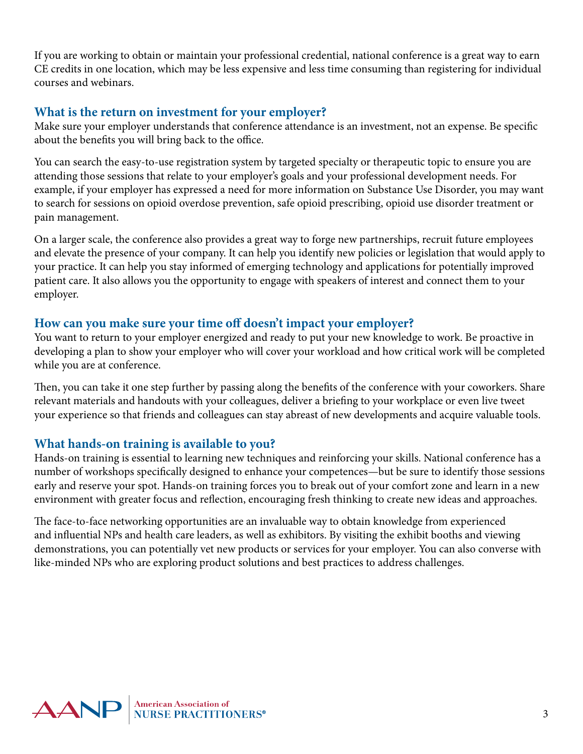If you are working to obtain or maintain your professional credential, national conference is a great way to earn CE credits in one location, which may be less expensive and less time consuming than registering for individual courses and webinars.

#### **What is the return on investment for your employer?**

Make sure your employer understands that conference attendance is an investment, not an expense. Be specific about the benefits you will bring back to the office.

You can search the easy-to-use registration system by targeted specialty or therapeutic topic to ensure you are attending those sessions that relate to your employer's goals and your professional development needs. For example, if your employer has expressed a need for more information on Substance Use Disorder, you may want to search for sessions on opioid overdose prevention, safe opioid prescribing, opioid use disorder treatment or pain management.

On a larger scale, the conference also provides a great way to forge new partnerships, recruit future employees and elevate the presence of your company. It can help you identify new policies or legislation that would apply to your practice. It can help you stay informed of emerging technology and applications for potentially improved patient care. It also allows you the opportunity to engage with speakers of interest and connect them to your employer.

#### **How can you make sure your time off doesn't impact your employer?**

You want to return to your employer energized and ready to put your new knowledge to work. Be proactive in developing a plan to show your employer who will cover your workload and how critical work will be completed while you are at conference.

Then, you can take it one step further by passing along the benefits of the conference with your coworkers. Share relevant materials and handouts with your colleagues, deliver a briefing to your workplace or even live tweet your experience so that friends and colleagues can stay abreast of new developments and acquire valuable tools.

### **What hands-on training is available to you?**

Hands-on training is essential to learning new techniques and reinforcing your skills. National conference has a number of workshops specifically designed to enhance your competences—but be sure to identify those sessions early and reserve your spot. Hands-on training forces you to break out of your comfort zone and learn in a new environment with greater focus and reflection, encouraging fresh thinking to create new ideas and approaches.

The face-to-face networking opportunities are an invaluable way to obtain knowledge from experienced and influential NPs and health care leaders, as well as exhibitors. By visiting the exhibit booths and viewing demonstrations, you can potentially vet new products or services for your employer. You can also converse with like-minded NPs who are exploring product solutions and best practices to address challenges.

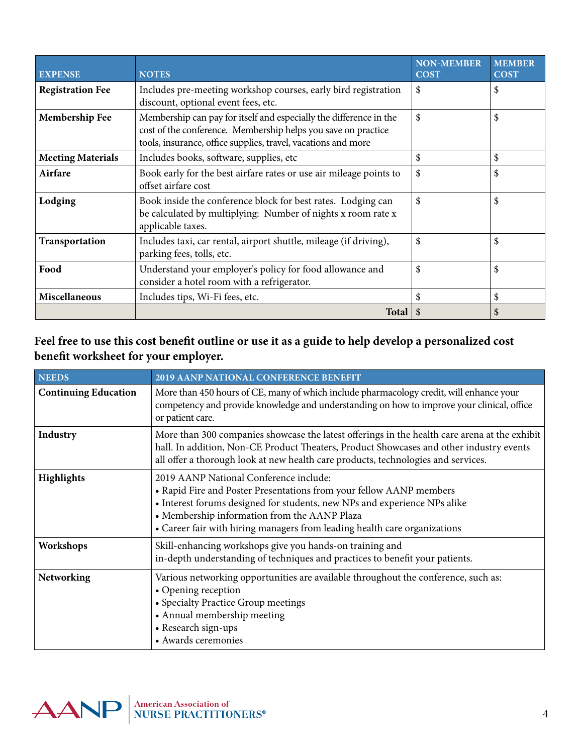| <b>EXPENSE</b>           | <b>NOTES</b>                                                                                                                                                                                         | <b>NON-MEMBER</b><br><b>COST</b> | <b>MEMBER</b><br><b>COST</b> |
|--------------------------|------------------------------------------------------------------------------------------------------------------------------------------------------------------------------------------------------|----------------------------------|------------------------------|
| <b>Registration Fee</b>  | Includes pre-meeting workshop courses, early bird registration<br>discount, optional event fees, etc.                                                                                                | \$                               | \$                           |
| <b>Membership Fee</b>    | Membership can pay for itself and especially the difference in the<br>cost of the conference. Membership helps you save on practice<br>tools, insurance, office supplies, travel, vacations and more | \$                               | \$                           |
| <b>Meeting Materials</b> | Includes books, software, supplies, etc.                                                                                                                                                             | \$                               | \$                           |
| Airfare                  | Book early for the best airfare rates or use air mileage points to<br>offset airfare cost                                                                                                            | \$                               | \$                           |
| Lodging                  | Book inside the conference block for best rates. Lodging can<br>be calculated by multiplying: Number of nights x room rate x<br>applicable taxes.                                                    | \$                               | \$                           |
| Transportation           | Includes taxi, car rental, airport shuttle, mileage (if driving),<br>parking fees, tolls, etc.                                                                                                       | \$                               | \$                           |
| Food                     | Understand your employer's policy for food allowance and<br>consider a hotel room with a refrigerator.                                                                                               | \$                               | \$                           |
| <b>Miscellaneous</b>     | Includes tips, Wi-Fi fees, etc.                                                                                                                                                                      | \$                               | \$                           |
|                          | Total                                                                                                                                                                                                | \$                               | S                            |

#### **Feel free to use this cost benefit outline or use it as a guide to help develop a personalized cost benefit worksheet for your employer.**

| <b>NEEDS</b>                | <b>2019 AANP NATIONAL CONFERENCE BENEFIT</b>                                                                                                                                                                                                                                                                            |  |
|-----------------------------|-------------------------------------------------------------------------------------------------------------------------------------------------------------------------------------------------------------------------------------------------------------------------------------------------------------------------|--|
| <b>Continuing Education</b> | More than 450 hours of CE, many of which include pharmacology credit, will enhance your<br>competency and provide knowledge and understanding on how to improve your clinical, office<br>or patient care.                                                                                                               |  |
| Industry                    | More than 300 companies showcase the latest offerings in the health care arena at the exhibit<br>hall. In addition, Non-CE Product Theaters, Product Showcases and other industry events<br>all offer a thorough look at new health care products, technologies and services.                                           |  |
| <b>Highlights</b>           | 2019 AANP National Conference include:<br>• Rapid Fire and Poster Presentations from your fellow AANP members<br>• Interest forums designed for students, new NPs and experience NPs alike<br>• Membership information from the AANP Plaza<br>• Career fair with hiring managers from leading health care organizations |  |
| Workshops                   | Skill-enhancing workshops give you hands-on training and<br>in-depth understanding of techniques and practices to benefit your patients.                                                                                                                                                                                |  |
| Networking                  | Various networking opportunities are available throughout the conference, such as:<br>• Opening reception<br>• Specialty Practice Group meetings<br>• Annual membership meeting<br>• Research sign-ups<br>• Awards ceremonies                                                                                           |  |